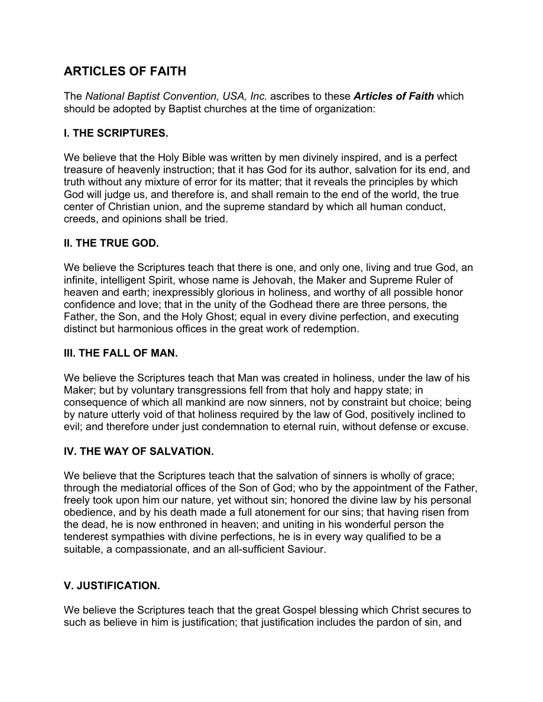# **ARTICLES OF FAITH**

The *National Baptist Convention, USA, Inc.* ascribes to these *Articles of Faith* which should be adopted by Baptist churches at the time of organization:

## **I. THE SCRIPTURES.**

We believe that the Holy Bible was written by men divinely inspired, and is a perfect treasure of heavenly instruction; that it has God for its author, salvation for its end, and truth without any mixture of error for its matter; that it reveals the principles by which God will judge us, and therefore is, and shall remain to the end of the world, the true center of Christian union, and the supreme standard by which all human conduct, creeds, and opinions shall be tried.

## **II. THE TRUE GOD.**

We believe the Scriptures teach that there is one, and only one, living and true God, an infinite, intelligent Spirit, whose name is Jehovah, the Maker and Supreme Ruler of heaven and earth; inexpressibly glorious in holiness, and worthy of all possible honor confidence and love; that in the unity of the Godhead there are three persons, the Father, the Son, and the Holy Ghost; equal in every divine perfection, and executing distinct but harmonious offices in the great work of redemption.

#### **III. THE FALL OF MAN.**

We believe the Scriptures teach that Man was created in holiness, under the law of his Maker; but by voluntary transgressions fell from that holy and happy state; in consequence of which all mankind are now sinners, not by constraint but choice; being by nature utterly void of that holiness required by the law of God, positively inclined to evil; and therefore under just condemnation to eternal ruin, without defense or excuse.

# **IV. THE WAY OF SALVATION.**

We believe that the Scriptures teach that the salvation of sinners is wholly of grace; through the mediatorial offices of the Son of God; who by the appointment of the Father, freely took upon him our nature, yet without sin; honored the divine law by his personal obedience, and by his death made a full atonement for our sins; that having risen from the dead, he is now enthroned in heaven; and uniting in his wonderful person the tenderest sympathies with divine perfections, he is in every way qualified to be a suitable, a compassionate, and an all-sufficient Saviour.

# **V. JUSTIFICATION.**

We believe the Scriptures teach that the great Gospel blessing which Christ secures to such as believe in him is justification; that justification includes the pardon of sin, and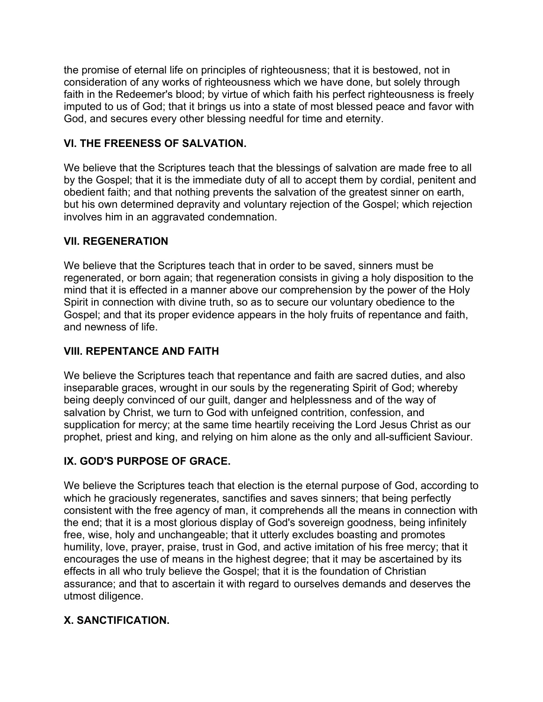the promise of eternal life on principles of righteousness; that it is bestowed, not in consideration of any works of righteousness which we have done, but solely through faith in the Redeemer's blood; by virtue of which faith his perfect righteousness is freely imputed to us of God; that it brings us into a state of most blessed peace and favor with God, and secures every other blessing needful for time and eternity.

## **VI. THE FREENESS OF SALVATION.**

We believe that the Scriptures teach that the blessings of salvation are made free to all by the Gospel; that it is the immediate duty of all to accept them by cordial, penitent and obedient faith; and that nothing prevents the salvation of the greatest sinner on earth, but his own determined depravity and voluntary rejection of the Gospel; which rejection involves him in an aggravated condemnation.

#### **VII. REGENERATION**

We believe that the Scriptures teach that in order to be saved, sinners must be regenerated, or born again; that regeneration consists in giving a holy disposition to the mind that it is effected in a manner above our comprehension by the power of the Holy Spirit in connection with divine truth, so as to secure our voluntary obedience to the Gospel; and that its proper evidence appears in the holy fruits of repentance and faith, and newness of life.

#### **VIII. REPENTANCE AND FAITH**

We believe the Scriptures teach that repentance and faith are sacred duties, and also inseparable graces, wrought in our souls by the regenerating Spirit of God; whereby being deeply convinced of our guilt, danger and helplessness and of the way of salvation by Christ, we turn to God with unfeigned contrition, confession, and supplication for mercy; at the same time heartily receiving the Lord Jesus Christ as our prophet, priest and king, and relying on him alone as the only and all-sufficient Saviour.

#### **IX. GOD'S PURPOSE OF GRACE.**

We believe the Scriptures teach that election is the eternal purpose of God, according to which he graciously regenerates, sanctifies and saves sinners; that being perfectly consistent with the free agency of man, it comprehends all the means in connection with the end; that it is a most glorious display of God's sovereign goodness, being infinitely free, wise, holy and unchangeable; that it utterly excludes boasting and promotes humility, love, prayer, praise, trust in God, and active imitation of his free mercy; that it encourages the use of means in the highest degree; that it may be ascertained by its effects in all who truly believe the Gospel; that it is the foundation of Christian assurance; and that to ascertain it with regard to ourselves demands and deserves the utmost diligence.

#### **X. SANCTIFICATION.**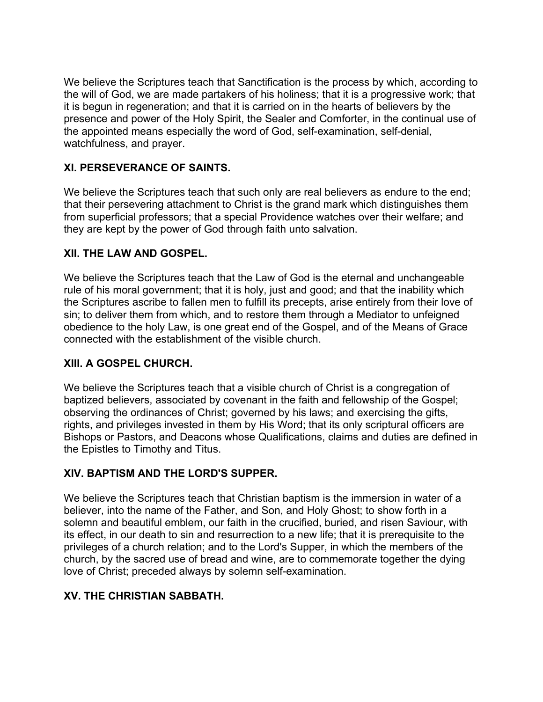We believe the Scriptures teach that Sanctification is the process by which, according to the will of God, we are made partakers of his holiness; that it is a progressive work; that it is begun in regeneration; and that it is carried on in the hearts of believers by the presence and power of the Holy Spirit, the Sealer and Comforter, in the continual use of the appointed means especially the word of God, self-examination, self-denial, watchfulness, and prayer.

## **XI. PERSEVERANCE OF SAINTS.**

We believe the Scriptures teach that such only are real believers as endure to the end; that their persevering attachment to Christ is the grand mark which distinguishes them from superficial professors; that a special Providence watches over their welfare; and they are kept by the power of God through faith unto salvation.

## **XII. THE LAW AND GOSPEL.**

We believe the Scriptures teach that the Law of God is the eternal and unchangeable rule of his moral government; that it is holy, just and good; and that the inability which the Scriptures ascribe to fallen men to fulfill its precepts, arise entirely from their love of sin; to deliver them from which, and to restore them through a Mediator to unfeigned obedience to the holy Law, is one great end of the Gospel, and of the Means of Grace connected with the establishment of the visible church.

#### **XIII. A GOSPEL CHURCH.**

We believe the Scriptures teach that a visible church of Christ is a congregation of baptized believers, associated by covenant in the faith and fellowship of the Gospel; observing the ordinances of Christ; governed by his laws; and exercising the gifts, rights, and privileges invested in them by His Word; that its only scriptural officers are Bishops or Pastors, and Deacons whose Qualifications, claims and duties are defined in the Epistles to Timothy and Titus.

#### **XIV. BAPTISM AND THE LORD'S SUPPER.**

We believe the Scriptures teach that Christian baptism is the immersion in water of a believer, into the name of the Father, and Son, and Holy Ghost; to show forth in a solemn and beautiful emblem, our faith in the crucified, buried, and risen Saviour, with its effect, in our death to sin and resurrection to a new life; that it is prerequisite to the privileges of a church relation; and to the Lord's Supper, in which the members of the church, by the sacred use of bread and wine, are to commemorate together the dying love of Christ; preceded always by solemn self-examination.

# **XV. THE CHRISTIAN SABBATH.**